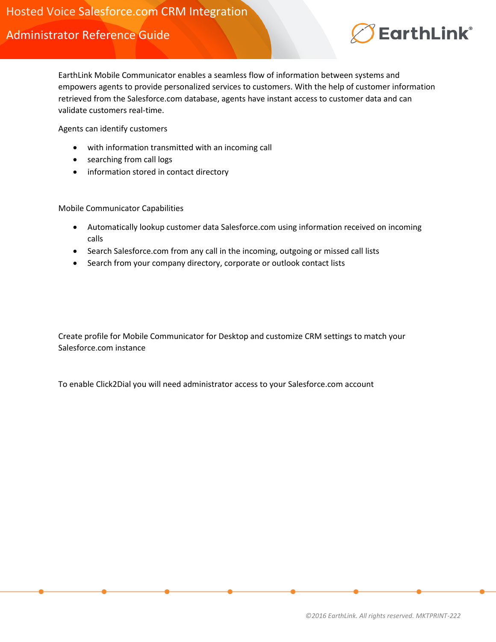Administrator Reference Guide



EarthLink Mobile Communicator enables a seamless flow of information between systems and empowers agents to provide personalized services to customers. With the help of customer information retrieved from the Salesforce.com database, agents have instant access to customer data and can validate customers real-time.

Agents can identify customers

- with information transmitted with an incoming call
- searching from call logs
- information stored in contact directory

Mobile Communicator Capabilities

- Automatically lookup customer data Salesforce.com using information received on incoming calls
- Search Salesforce.com from any call in the incoming, outgoing or missed call lists
- Search from your company directory, corporate or outlook contact lists

Create profile for Mobile Communicator for Desktop and customize CRM settings to match your Salesforce.com instance

To enable Click2Dial you will need administrator access to your Salesforce.com account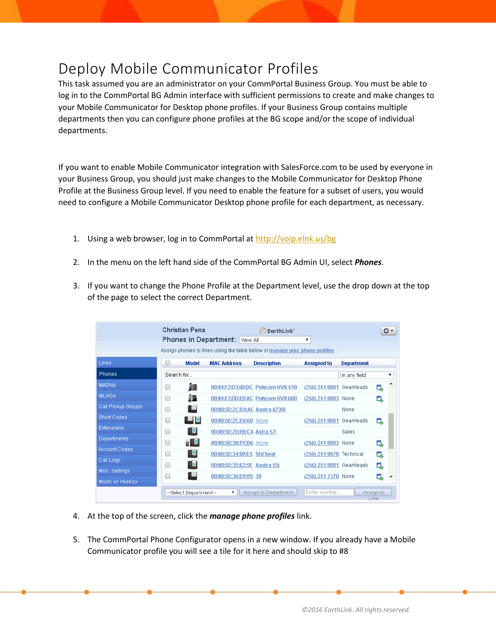# Deploy Mobile Communicator Profiles

This task assumed you are an administrator on your CommPortal Business Group. You must be able to log in to the CommPortal BG Admin interface with sufficient permissions to create and make changes to your Mobile Communicator for Desktop phone profiles. If your Business Group contains multiple departments then you can configure phone profiles at the BG scope and/or the scope of individual departments.

If you want to enable Mobile Communicator integration with SalesForce.com to be used by everyone in your Business Group, you should just make changes to the Mobile Communicator for Desktop Phone Profile at the Business Group level. If you need to enable the feature for a subset of users, you would need to configure a Mobile Communicator Desktop phone profile for each department, as necessary.

- 1. Using a web browser, log in to CommPortal a[t http://voip.elnk.us/bg](http://voip.elnk.us/bg)
- 2. In the menu on the left hand side of the CommPortal BG Admin UI, select *Phones*.
- 3. If you want to change the Phone Profile at the Department level, use the drop down at the top of the page to select the correct Department.

|                      |            | <b>Christian Pena</b> | <b>Phones in Department:</b> View All | EarthLink <sup>*</sup><br>Assign phones to lines using the table below or manage your phone profiles. | v                        |                   | Φ۰                |
|----------------------|------------|-----------------------|---------------------------------------|-------------------------------------------------------------------------------------------------------|--------------------------|-------------------|-------------------|
| Lines                |            | <b>Model</b>          | <b>MAC Address</b>                    | <b>Description</b>                                                                                    | <b>Assigned to</b>       | <b>Department</b> |                   |
| <b>Phones</b>        | Search for |                       |                                       |                                                                                                       |                          | in any field      | ▼                 |
| <b>MADNs</b>         |            |                       |                                       | 00:04:F2:D3:60:DC Polycom VVX 410                                                                     | (256) 241 8081 GearHeads |                   | d,                |
| <b>MLHGs</b>         |            | 95.                   |                                       | 00:04:F2:DD:E9:AC Polycom VVX 600                                                                     | (256) 241 8083 None      |                   | o.                |
| Call Pickup Groups   |            |                       | 00:08:5D:2C:D4:AC Aastra 6739i        |                                                                                                       |                          | None              |                   |
| <b>Short Codes</b>   |            |                       | 00:08:5D:2C:E8:60 None                |                                                                                                       | (256) 241 8081 GearHeads |                   | Q,                |
| Extensions           |            |                       | 00:08:5D:2D:FB:C4 Astra 57i           |                                                                                                       |                          | Sales             |                   |
| <b>Departments</b>   | −          | n U                   | 00:08:5D:30:91:D6 None                |                                                                                                       | (256) 241 8083 None      |                   | 다                 |
| <b>Account Codes</b> |            |                       | 00:08:5D:34:09:E5 Std Seat            |                                                                                                       | (256) 241 8078 Technical |                   | г,                |
| Call Logs            |            |                       |                                       | 00:08:5D:35:B2:5F Aastra 55i                                                                          | (256) 241 8081 GearHeads |                   | г,                |
| Misc. Settings       | −          |                       | 00:08:5D:36:D9:95 39                  |                                                                                                       | (256) 241 7370 None      |                   |                   |
| Music on Hold C+     |            |                       |                                       |                                                                                                       |                          |                   | ↳                 |
|                      |            | --Select Department-- | ▼                                     | Assign to Department                                                                                  | Enter number             |                   | Assign to<br>Line |

- 4. At the top of the screen, click the *manage phone profiles* link.
- 5. The CommPortal Phone Configurator opens in a new window. If you already have a Mobile Communicator profile you will see a tile for it here and should skip to #8

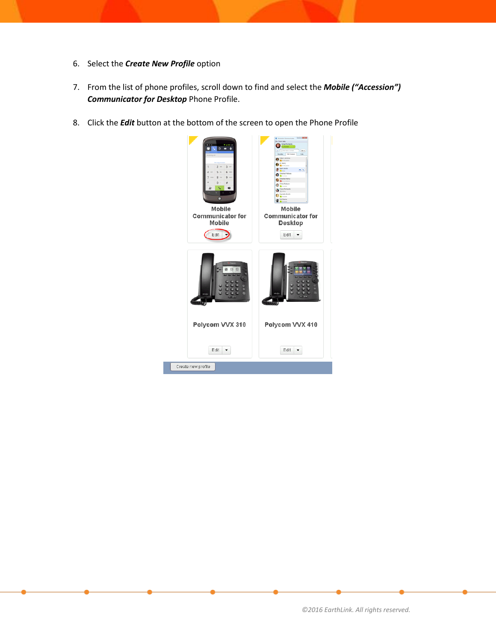- 6. Select the *Create New Profile* option
- 7. From the list of phone profiles, scroll down to find and select the *Mobile ("Accession") Communicator for Desktop* Phone Profile.
- 8. Click the *Edit* button at the bottom of the screen to open the Phone Profile

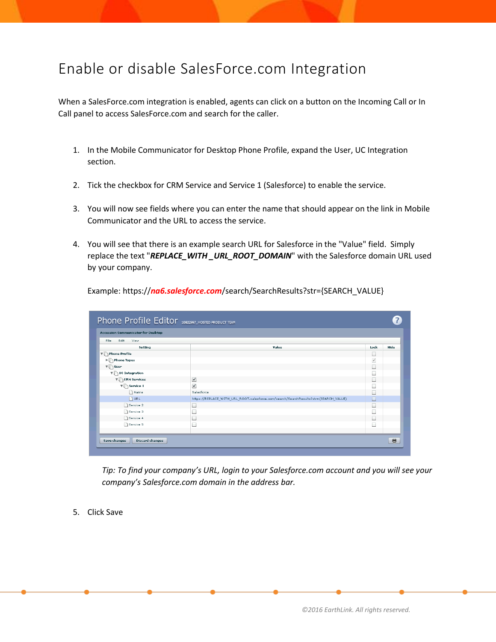### Enable or disable SalesForce.com Integration

When a SalesForce.com integration is enabled, agents can click on a button on the Incoming Call or In Call panel to access SalesForce.com and search for the caller.

- 1. In the Mobile Communicator for Desktop Phone Profile, expand the User, UC Integration section.
- 2. Tick the checkbox for CRM Service and Service 1 (Salesforce) to enable the service.
- 3. You will now see fields where you can enter the name that should appear on the link in Mobile Communicator and the URL to access the service.
- 4. You will see that there is an example search URL for Salesforce in the "Value" field. Simply replace the text "*REPLACE\_WITH \_URL\_ROOT\_DOMAIN*" with the Salesforce domain URL used by your company.

| <b>Accession Communicator for Desktop</b> |                                                                                      |                          |      |  |  |  |  |  |
|-------------------------------------------|--------------------------------------------------------------------------------------|--------------------------|------|--|--|--|--|--|
| Edit<br>View<br>File<br>Setting           | Value                                                                                | Lock                     | Hide |  |  |  |  |  |
| $\nabla$ Phone Profile                    |                                                                                      | ш                        |      |  |  |  |  |  |
| ▶ Phone Types                             |                                                                                      | $\checkmark$             |      |  |  |  |  |  |
| $\mathbf{v} \qquad \qquad$ User           |                                                                                      | $\overline{\phantom{a}}$ |      |  |  |  |  |  |
| $\mathbf{v}$ UC Integration               |                                                                                      | m.                       |      |  |  |  |  |  |
| ▼ CRM Services                            | $\blacktriangledown$                                                                 |                          |      |  |  |  |  |  |
| $\mathbf{v}$ Service 1                    | ✔                                                                                    |                          |      |  |  |  |  |  |
| Name                                      | Salesforce                                                                           |                          |      |  |  |  |  |  |
| $D$ URL                                   | https://REPLACE_WITH_URL_ROOT.salesforce.com/search/SearchResults?str={SEARCH_VALUE} |                          |      |  |  |  |  |  |
| Service 2                                 |                                                                                      | $\overline{\phantom{a}}$ |      |  |  |  |  |  |
| Service 3                                 |                                                                                      |                          |      |  |  |  |  |  |
| Service 4                                 | ⊟                                                                                    | ш                        |      |  |  |  |  |  |
| Service 5                                 |                                                                                      | H                        |      |  |  |  |  |  |
|                                           |                                                                                      |                          |      |  |  |  |  |  |

Example: https://*na6.salesforce.com*/search/SearchResults?str={SEARCH\_VALUE}

*Tip: To find your company's URL, login to your Salesforce.com account and you will see your company's Salesforce.com domain in the address bar.*

5. Click Save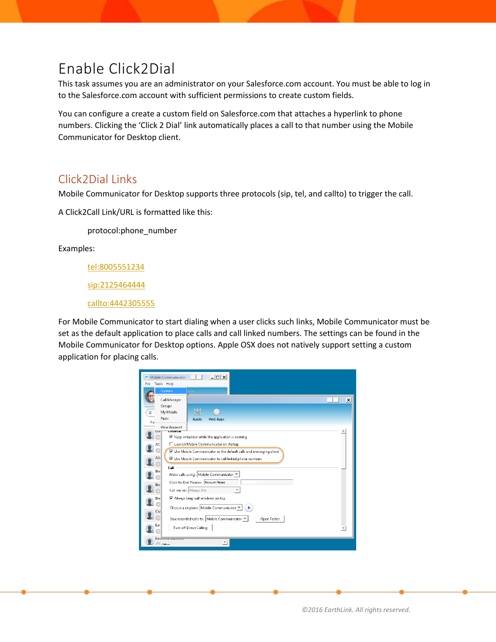# Enable Click2Dial

This task assumes you are an administrator on your Salesforce.com account. You must be able to log in to the Salesforce.com account with sufficient permissions to create custom fields.

You can configure a create a custom field on Salesforce.com that attaches a hyperlink to phone numbers. Clicking the 'Click 2 Dial' link automatically places a call to that number using the Mobile Communicator for Desktop client.

#### Click2Dial Links

Mobile Communicator for Desktop supports three protocols (sip, tel, and callto) to trigger the call.

A Click2Call Link/URL is formatted like this:

protocol:phone\_number

Examples:

<tel:8005551234>

<sip:2125464444>

<callto:4442305555>

For Mobile Communicator to start dialing when a user clicks such links, Mobile Communicator must be set as the default application to place calls and call linked numbers. The settings can be found in the Mobile Communicator for Desktop options. Apple OSX does not natively support setting a custom application for placing calls.